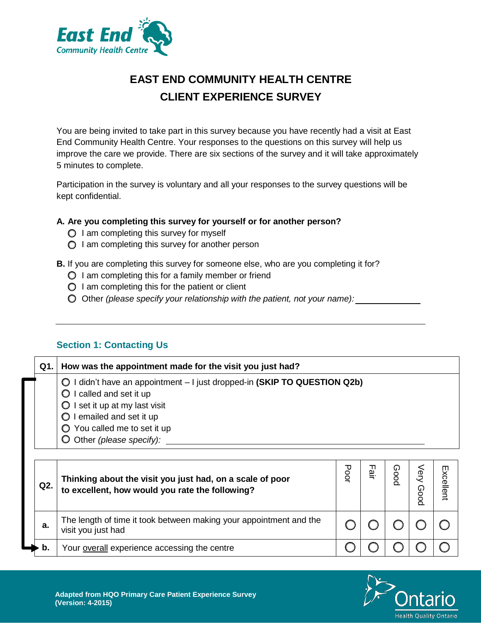

# **EAST END COMMUNITY HEALTH CENTRE CLIENT EXPERIENCE SURVEY**

You are being invited to take part in this survey because you have recently had a visit at East End Community Health Centre. Your responses to the questions on this survey will help us improve the care we provide. There are six sections of the survey and it will take approximately 5 minutes to complete.

Participation in the survey is voluntary and all your responses to the survey questions will be kept confidential.

#### **A. Are you completing this survey for yourself or for another person?**

- $\bigcirc$  I am completing this survey for myself
- $\bigcirc$  I am completing this survey for another person
- **B.** If you are completing this survey for someone else, who are you completing it for?
	- $\bigcirc$  I am completing this for a family member or friend
	- $\bigcirc$  I am completing this for the patient or client
	- Other *(please specify your relationship with the patient, not your name):*

#### **Section 1: Contacting Us**

| Q1. | How was the appointment made for the visit you just had?                                                                                                                                                                                              |      |         |   |      |
|-----|-------------------------------------------------------------------------------------------------------------------------------------------------------------------------------------------------------------------------------------------------------|------|---------|---|------|
|     | I didn't have an appointment - I just dropped-in (SKIP TO QUESTION Q2b)<br>O<br>I called and set it up<br>I set it up at my last visit<br>O<br>I emailed and set it up<br>$\bigcirc$ You called me to set it up<br>$\bigcirc$ Other (please specify): |      |         |   |      |
|     | Thinking about the visit you just had, on a scale of poor                                                                                                                                                                                             | Poor | ᆩ<br>ഇ. | ດ | Exce |

| Q2. | Thinking about the visit you just had, on a scale of poor<br>to excellent, how would you rate the following? | oo<br>Q | ш<br>ഇ. | (ر)<br>ဥ | පි<br>᠗<br>poo | Excellent |
|-----|--------------------------------------------------------------------------------------------------------------|---------|---------|----------|----------------|-----------|
| a.  | The length of time it took between making your appointment and the<br>visit you just had                     |         |         |          |                |           |
|     | Your overall experience accessing the centre                                                                 |         |         |          |                |           |

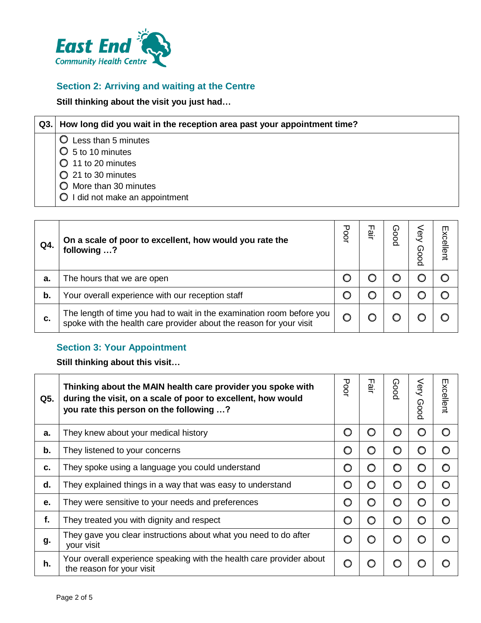

## **Section 2: Arriving and waiting at the Centre**

**Still thinking about the visit you just had…**

| Q3.1 | How long did you wait in the reception area past your appointment time? |
|------|-------------------------------------------------------------------------|
|      | Less than 5 minutes                                                     |
|      | $\bigcirc$ 5 to 10 minutes                                              |
|      | $\bigcirc$ 11 to 20 minutes                                             |
|      | $\bigcirc$ 21 to 30 minutes                                             |
|      | O More than 30 minutes                                                  |
|      | I did not make an appointment<br>$\circ$                                |
|      |                                                                         |

| Q4. | On a scale of poor to excellent, how would you rate the<br>following ?                                                                    | Poor | டி | G.<br>0 | γeς<br>ဂ<br>ōog | Excellent |
|-----|-------------------------------------------------------------------------------------------------------------------------------------------|------|----|---------|-----------------|-----------|
| а.  | The hours that we are open                                                                                                                |      |    |         |                 |           |
| b.  | Your overall experience with our reception staff                                                                                          |      |    |         |                 |           |
| c.  | The length of time you had to wait in the examination room before you spoke with the health care provider about the reason for your visit |      |    |         |                 |           |

## **Section 3: Your Appointment**

**Still thinking about this visit…**

| Q5. | Thinking about the MAIN health care provider you spoke with<br>during the visit, on a scale of poor to excellent, how would<br>you rate this person on the following ? | Poo | ᆩ<br><u>ٰیہ</u> = | <b>Good</b> | Very<br>Good | Excellent |
|-----|------------------------------------------------------------------------------------------------------------------------------------------------------------------------|-----|-------------------|-------------|--------------|-----------|
| a.  | They knew about your medical history                                                                                                                                   | ∩   | O                 | O           | O            | O         |
| b.  | They listened to your concerns                                                                                                                                         | ∩   | ∩                 | O           | O            | O         |
| c.  | They spoke using a language you could understand                                                                                                                       | O   | O                 | O           | O            | O         |
| d.  | They explained things in a way that was easy to understand                                                                                                             |     | O                 | O           | O            | O         |
| е.  | They were sensitive to your needs and preferences                                                                                                                      | O   | O                 | O           | O            | O         |
| f.  | They treated you with dignity and respect                                                                                                                              | ∩   | O                 | O           | O            | O         |
| g.  | They gave you clear instructions about what you need to do after<br>your visit                                                                                         |     | ∩                 | O           | O            | O         |
| h.  | Your overall experience speaking with the health care provider about<br>the reason for your visit                                                                      | ∩   |                   | ທ           | O            |           |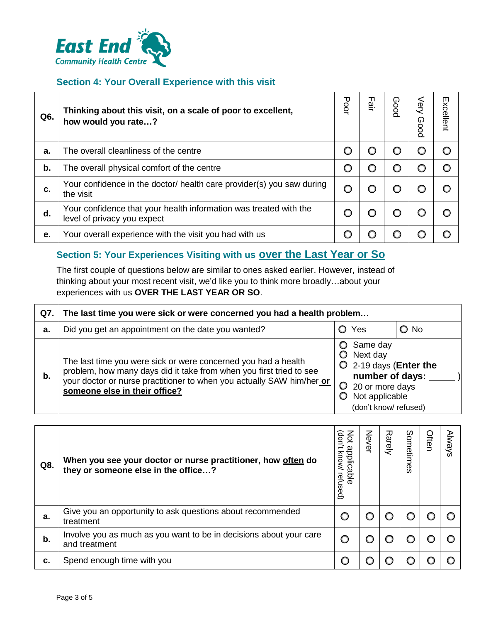

#### **Section 4: Your Overall Experience with this visit**

| Q6. | Thinking about this visit, on a scale of poor to excellent,<br>how would you rate?               | <b>Poor</b> | ᆩ<br><u>മ്</u> | Good | Very<br><b>Poog</b> | Excellent |
|-----|--------------------------------------------------------------------------------------------------|-------------|----------------|------|---------------------|-----------|
| a.  | The overall cleanliness of the centre                                                            |             | C              | O    | O                   |           |
| b.  | The overall physical comfort of the centre                                                       |             | C              | O    | O                   |           |
| C.  | Your confidence in the doctor/ health care provider(s) you saw during<br>the visit               |             |                | O    | O                   |           |
| d.  | Your confidence that your health information was treated with the<br>level of privacy you expect |             |                |      | O                   |           |
| е.  | Your overall experience with the visit you had with us                                           |             |                | O    | O                   |           |

## **Section 5: Your Experiences Visiting with us over the Last Year or So**

The first couple of questions below are similar to ones asked earlier. However, instead of thinking about your most recent visit, we'd like you to think more broadly…about your experiences with us **OVER THE LAST YEAR OR SO**.

| Q7. | The last time you were sick or were concerned you had a health problem                                                                                                                                                                          |                                                                                                                                              |               |
|-----|-------------------------------------------------------------------------------------------------------------------------------------------------------------------------------------------------------------------------------------------------|----------------------------------------------------------------------------------------------------------------------------------------------|---------------|
| a.  | Did you get an appointment on the date you wanted?                                                                                                                                                                                              | O Yes                                                                                                                                        | $\bigcirc$ No |
| b.  | The last time you were sick or were concerned you had a health<br>problem, how many days did it take from when you first tried to see<br>your doctor or nurse practitioner to when you actually SAW him/her or<br>someone else in their office? | Same day<br>$\bigcirc$ Next day<br>$O$ 2-19 days (Enter the<br>number of days:<br>20 or more days<br>Not applicable<br>(don't know/ refused) |               |

| Q8. | When you see your doctor or nurse practitioner, how often do<br>they or someone else in the office? | Not<br>(don't<br>applicable<br><b>Know</b><br>refused) | <b>D</b><br>ሟ | Rarely | Sometimes | Often | <b>Always</b> |
|-----|-----------------------------------------------------------------------------------------------------|--------------------------------------------------------|---------------|--------|-----------|-------|---------------|
| а.  | Give you an opportunity to ask questions about recommended<br>treatment                             | O                                                      |               |        |           |       |               |
| b.  | Involve you as much as you want to be in decisions about your care<br>and treatment                 | O                                                      |               |        |           |       |               |
| c.  | Spend enough time with you                                                                          |                                                        |               |        |           |       |               |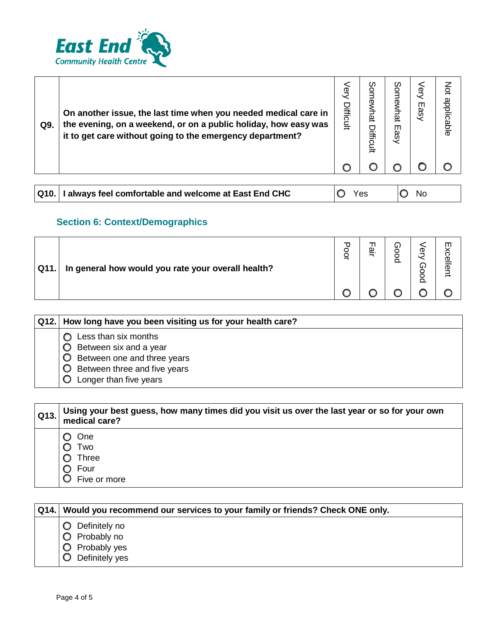

| Q9.  | On another issue, the last time when you needed medical care in<br>the evening, on a weekend, or on a public holiday, how easy was<br>it to get care without going to the emergency department? | ery<br>Difficult | ပ္မွ<br>hat<br>ifficult | Sor<br>newhat<br>Easy | Very<br>Easy | Not<br>applicable |
|------|-------------------------------------------------------------------------------------------------------------------------------------------------------------------------------------------------|------------------|-------------------------|-----------------------|--------------|-------------------|
|      |                                                                                                                                                                                                 |                  |                         |                       |              |                   |
|      |                                                                                                                                                                                                 |                  |                         |                       |              |                   |
| Q10. | always feel comfortable and welcome at East End CHC                                                                                                                                             |                  | Yes                     |                       | No           |                   |

# **Section 6: Context/Demographics**

| Q11. | In general how would you rate your overall health? | o | ω | υJ | ወ<br>⋒ | $\blacksquare$<br>o<br>ক |
|------|----------------------------------------------------|---|---|----|--------|--------------------------|
|      |                                                    |   |   |    |        |                          |

| Q12.   How long have you been visiting us for your health care?                                                                         |
|-----------------------------------------------------------------------------------------------------------------------------------------|
| Less than six months<br>Between six and a year<br>Between one and three years<br>Between three and five years<br>Longer than five years |

| Q13. | Using your best guess, how many times did you visit us over the last year or so for your own<br>medical care? |
|------|---------------------------------------------------------------------------------------------------------------|
|      | One<br>Two<br><b>Three</b><br>Four<br>Five or more                                                            |

| Q14. Would you recommend our services to your family or friends? Check ONE only.   |
|------------------------------------------------------------------------------------|
| <b>O</b> Definitely no<br>Probably no<br>$\circ$<br>Probably yes<br>Definitely yes |